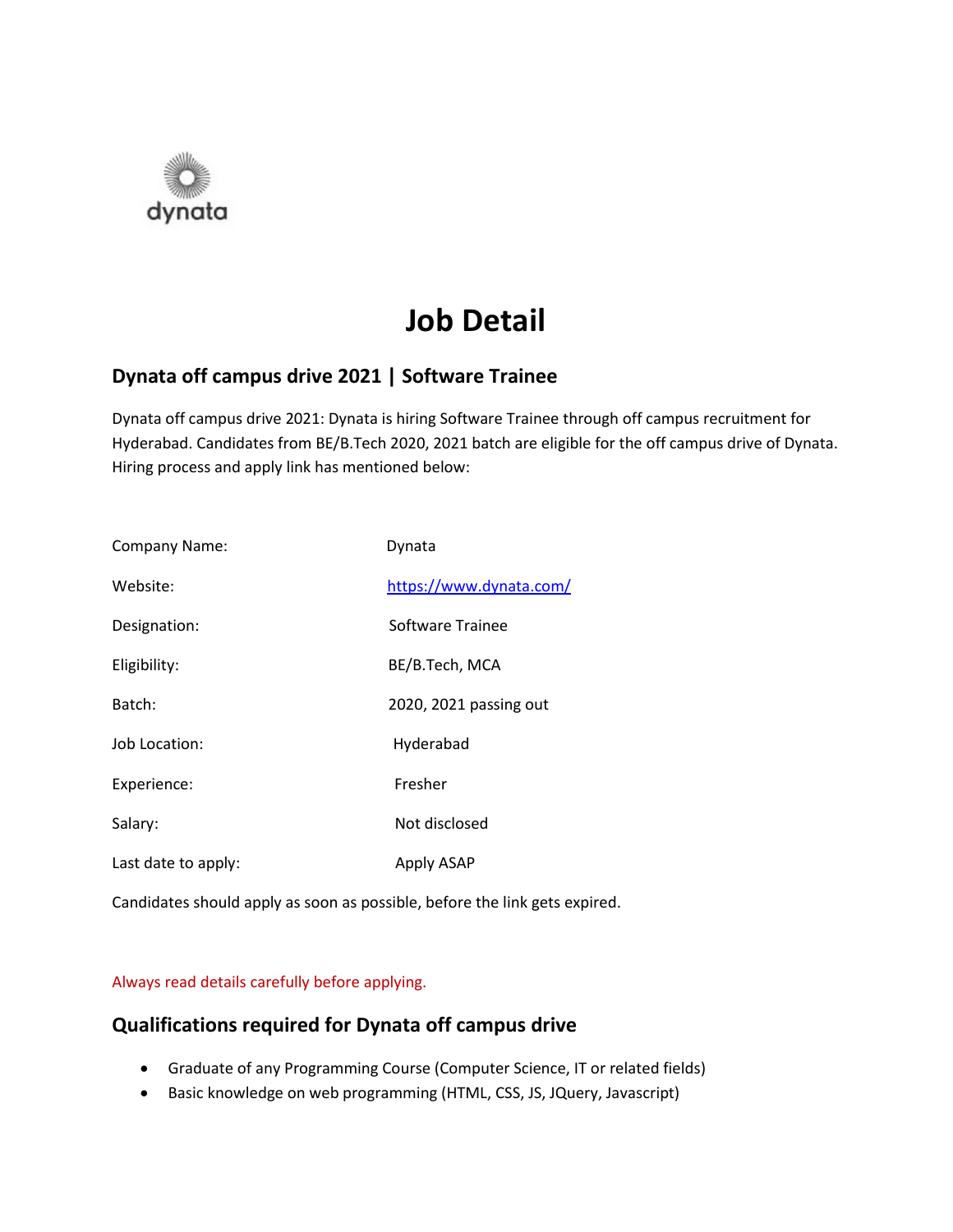

# **Job Detail**

# **Dynata off campus drive 2021 | Software Trainee**

Dynata off campus drive 2021: Dynata is hiring Software Trainee through off campus recruitment for Hyderabad. Candidates from BE/B.Tech 2020, 2021 batch are eligible for the off campus drive of Dynata. Hiring process and apply link has mentioned below:

| Company Name:       | Dynata                  |
|---------------------|-------------------------|
| Website:            | https://www.dynata.com/ |
| Designation:        | Software Trainee        |
| Eligibility:        | BE/B.Tech, MCA          |
| Batch:              | 2020, 2021 passing out  |
| Job Location:       | Hyderabad               |
| Experience:         | Fresher                 |
| Salary:             | Not disclosed           |
| Last date to apply: | Apply ASAP              |

Candidates should apply as soon as possible, before the link gets expired.

#### Always read details carefully before applying.

### **Qualifications required for Dynata off campus drive**

- Graduate of any Programming Course (Computer Science, IT or related fields)
- Basic knowledge on web programming (HTML, CSS, JS, JQuery, Javascript)